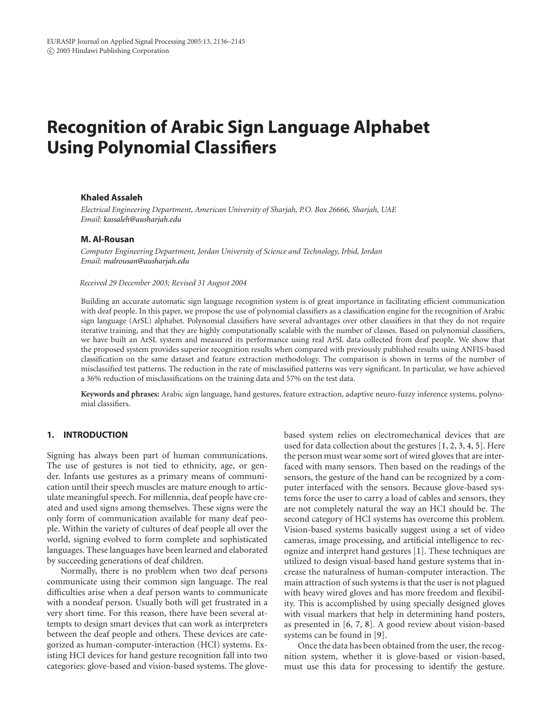# **Recognition of Arabic Sign Language Alphabet Using Polynomial Classifiers**

## **Khaled Assaleh**

*Electrical Engineering Department, American University of Sharjah, P.O. Box 26666, Sharjah, UAE Email: [kassaleh@ausharjah.edu](mailto:kassaleh@ausharjah.edu)*

#### **M. Al-Rousan**

*Computer Engineering Department, Jordan University of Science and Technology, Irbid, Jordan Email: [malrousan@ausharjah.edu](mailto:malrousan@ausharjah.edu)*

*Received 29 December 2003; Revised 31 August 2004*

Building an accurate automatic sign language recognition system is of great importance in facilitating efficient communication with deaf people. In this paper, we propose the use of polynomial classifiers as a classification engine for the recognition of Arabic sign language (ArSL) alphabet. Polynomial classifiers have several advantages over other classifiers in that they do not require iterative training, and that they are highly computationally scalable with the number of classes. Based on polynomial classifiers, we have built an ArSL system and measured its performance using real ArSL data collected from deaf people. We show that the proposed system provides superior recognition results when compared with previously published results using ANFIS-based classification on the same dataset and feature extraction methodology. The comparison is shown in terms of the number of misclassified test patterns. The reduction in the rate of misclassified patterns was very significant. In particular, we have achieved a 36% reduction of misclassifications on the training data and 57% on the test data.

**Keywords and phrases:** Arabic sign language, hand gestures, feature extraction, adaptive neuro-fuzzy inference systems, polynomial classifiers.

# **1. INTRODUCTION**

Signing has always been part of human communications. The use of gestures is not tied to ethnicity, age, or gender. Infants use gestures as a primary means of communication until their speech muscles are mature enough to articulate meaningful speech. For millennia, deaf people have created and used signs among themselves. These signs were the only form of communication available for many deaf people. Within the variety of cultures of deaf people all over the world, signing evolved to form complete and sophisticated languages. These languages have been learned and elaborated by succeeding generations of deaf children.

Normally, there is no problem when two deaf persons communicate using their common sign language. The real difficulties arise when a deaf person wants to communicate with a nondeaf person. Usually both will get frustrated in a very short time. For this reason, there have been several attempts to design smart devices that can work as interpreters between the deaf people and others. These devices are categorized as human-computer-interaction (HCI) systems. Existing HCI devices for hand gesture recognition fall into two categories: glove-based and vision-based systems. The glove-

based system relies on electromechanical devices that are used for data collection about the gestures [\[1](#page-8-0), [2](#page-8-1), [3](#page-8-2), [4,](#page-8-3) [5\]](#page-8-4). Here the person must wear some sort of wired gloves that are interfaced with many sensors. Then based on the readings of the sensors, the gesture of the hand can be recognized by a computer interfaced with the sensors. Because glove-based systems force the user to carry a load of cables and sensors, they are not completely natural the way an HCI should be. The second category of HCI systems has overcome this problem. Vision-based systems basically suggest using a set of video cameras, image processing, and artificial intelligence to recognize and interpret hand gestures [\[1\]](#page-8-0). These techniques are utilized to design visual-based hand gesture systems that increase the naturalness of human-computer interaction. The main attraction of such systems is that the user is not plagued with heavy wired gloves and has more freedom and flexibility. This is accomplished by using specially designed gloves with visual markers that help in determining hand posters, as presented in [\[6](#page-8-5), [7](#page-8-6), [8\]](#page-8-7). A good review about vision-based systems can be found in [\[9\]](#page-8-8).

Once the data has been obtained from the user, the recognition system, whether it is glove-based or vision-based, must use this data for processing to identify the gesture.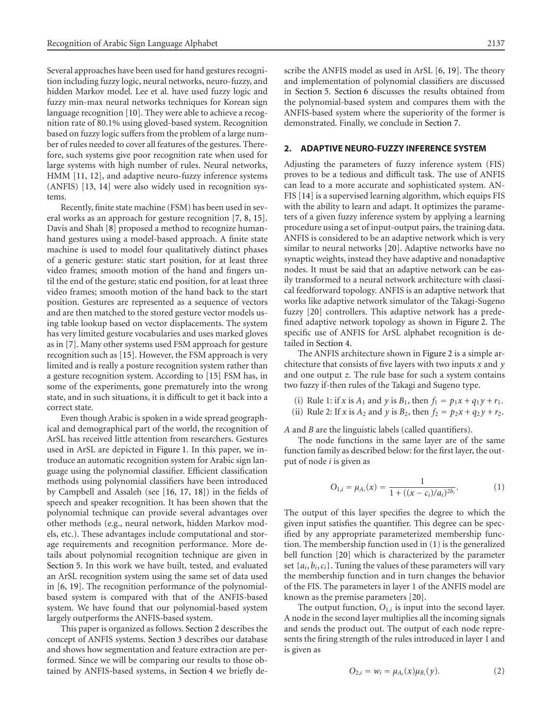Several approaches have been used for hand gestures recognition including fuzzy logic, neural networks, neuro-fuzzy, and hidden Markov model. Lee et al. have used fuzzy logic and fuzzy min-max neural networks techniques for Korean sign language recognition [\[10](#page-8-9)]. They were able to achieve a recognition rate of 80.1% using gloved-based system. Recognition based on fuzzy logic suffers from the problem of a large number of rules needed to cover all features of the gestures. Therefore, such systems give poor recognition rate when used for large systems with high number of rules. Neural networks, HMM [\[11](#page-8-10), [12](#page-8-11)], and adaptive neuro-fuzzy inference systems (ANFIS) [\[13,](#page-8-12) [14](#page-8-13)] were also widely used in recognition systems.

Recently, finite state machine (FSM) has been used in several works as an approach for gesture recognition [\[7,](#page-8-6) [8](#page-8-7), [15\]](#page-8-14). Davis and Shah [\[8](#page-8-7)] proposed a method to recognize humanhand gestures using a model-based approach. A finite state machine is used to model four qualitatively distinct phases of a generic gesture: static start position, for at least three video frames; smooth motion of the hand and fingers until the end of the gesture; static end position, for at least three video frames; smooth motion of the hand back to the start position. Gestures are represented as a sequence of vectors and are then matched to the stored gesture vector models using table lookup based on vector displacements. The system has very limited gesture vocabularies and uses marked gloves as in [\[7\]](#page-8-6). Many other systems used FSM approach for gesture recognition such as [\[15\]](#page-8-14). However, the FSM approach is very limited and is really a posture recognition system rather than a gesture recognition system. According to [\[15\]](#page-8-14) FSM has, in some of the experiments, gone prematurely into the wrong state, and in such situations, it is difficult to get it back into a correct state.

Even though Arabic is spoken in a wide spread geographical and demographical part of the world, the recognition of ArSL has received little attention from researchers. Gestures used in ArSL are depicted in [Figure 1.](#page-2-0) In this paper, we introduce an automatic recognition system for Arabic sign language using the polynomial classifier. Efficient classification methods using polynomial classifiers have been introduced by Campbell and Assaleh (see [\[16,](#page-8-15) [17](#page-8-16), [18](#page-8-17)]) in the fields of speech and speaker recognition. It has been shown that the polynomial technique can provide several advantages over other methods (e.g., neural network, hidden Markov models, etc.). These advantages include computational and storage requirements and recognition performance. More details about polynomial recognition technique are given in [Section 5.](#page-5-0) In this work we have built, tested, and evaluated an ArSL recognition system using the same set of data used in [\[6](#page-8-5), [19](#page-8-18)]. The recognition performance of the polynomialbased system is compared with that of the ANFIS-based system. We have found that our polynomial-based system largely outperforms the ANFIS-based system.

This paper is organized as follows. [Section 2](#page-1-0) describes the concept of ANFIS systems. [Section 3](#page-3-0) describes our database and shows how segmentation and feature extraction are performed. Since we will be comparing our results to those obtained by ANFIS-based systems, in [Section 4](#page-4-0) we briefly de-

scribe the ANFIS model as used in ArSL [\[6](#page-8-5), [19](#page-8-18)]. The theory and implementation of polynomial classifiers are discussed in [Section 5.](#page-5-0) [Section 6](#page-7-0) discusses the results obtained from the polynomial-based system and compares them with the ANFIS-based system where the superiority of the former is demonstrated. Finally, we conclude in [Section 7.](#page-7-1)

#### <span id="page-1-0"></span>**2. ADAPTIVE NEURO-FUZZY INFERENCE SYSTEM**

Adjusting the parameters of fuzzy inference system (FIS) proves to be a tedious and difficult task. The use of ANFIS can lead to a more accurate and sophisticated system. AN-FIS [\[14\]](#page-8-13) is a supervised learning algorithm, which equips FIS with the ability to learn and adapt. It optimizes the parameters of a given fuzzy inference system by applying a learning procedure using a set of input-output pairs, the training data. ANFIS is considered to be an adaptive network which is very similar to neural networks [\[20](#page-8-19)]. Adaptive networks have no synaptic weights, instead they have adaptive and nonadaptive nodes. It must be said that an adaptive network can be easily transformed to a neural network architecture with classical feedforward topology. ANFIS is an adaptive network that works like adaptive network simulator of the Takagi-Sugeno fuzzy [\[20\]](#page-8-19) controllers. This adaptive network has a predefined adaptive network topology as shown in [Figure 2.](#page-3-1) The specific use of ANFIS for ArSL alphabet recognition is detailed in [Section 4.](#page-4-0)

The ANFIS architecture shown in [Figure 2](#page-3-1) is a simple architecture that consists of five layers with two inputs *x* and *y* and one output *z*. The rule base for such a system contains two fuzzy if-then rules of the Takagi and Sugeno type.

- (i) Rule 1: if *x* is  $A_1$  and *y* is  $B_1$ , then  $f_1 = p_1x + q_1y + r_1$ .
- (ii) Rule 2: If *x* is  $A_2$  and *y* is  $B_2$ , then  $f_2 = p_2x + q_2y + r_2$ .

*A* and *B* are the linguistic labels (called quantifiers).

<span id="page-1-1"></span>The node functions in the same layer are of the same function family as described below: for the first layer, the output of node *i* is given as

$$
O_{1,i} = \mu_{A_i}(x) = \frac{1}{1 + ((x - c_i)/a_i)^{2b_i}}.
$$
 (1)

The output of this layer specifies the degree to which the given input satisfies the quantifier. This degree can be specified by any appropriate parameterized membership function. The membership function used in [\(1\)](#page-1-1) is the generalized bell function [\[20\]](#page-8-19) which is characterized by the parameter set {*a<sup>i</sup>* , *bi* ,*ci*}. Tuning the values of these parameters will vary the membership function and in turn changes the behavior of the FIS. The parameters in layer 1 of the ANFIS model are known as the premise parameters [\[20\]](#page-8-19).

The output function,  $O_{1,i}$  is input into the second layer. A node in the second layer multiplies all the incoming signals and sends the product out. The output of each node represents the firing strength of the rules introduced in layer 1 and is given as

$$
O_{2,i} = w_i = \mu_{A_i}(x)\mu_{B_i}(y). \tag{2}
$$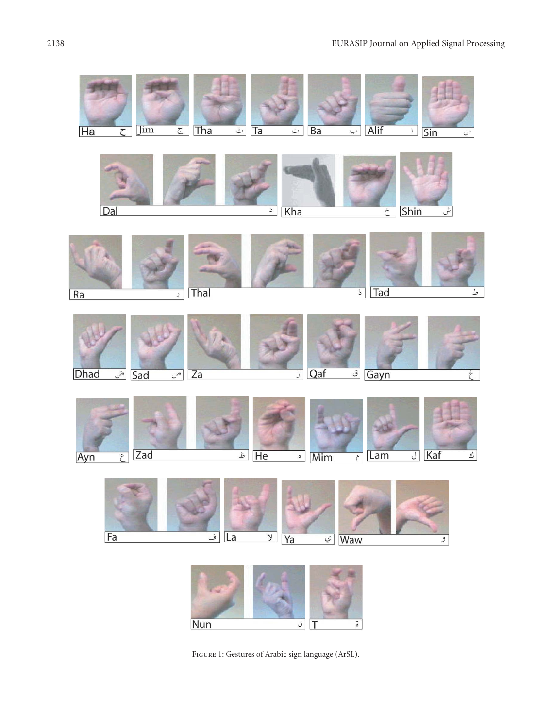<span id="page-2-0"></span>

Figure 1: Gestures of Arabic sign language (ArSL).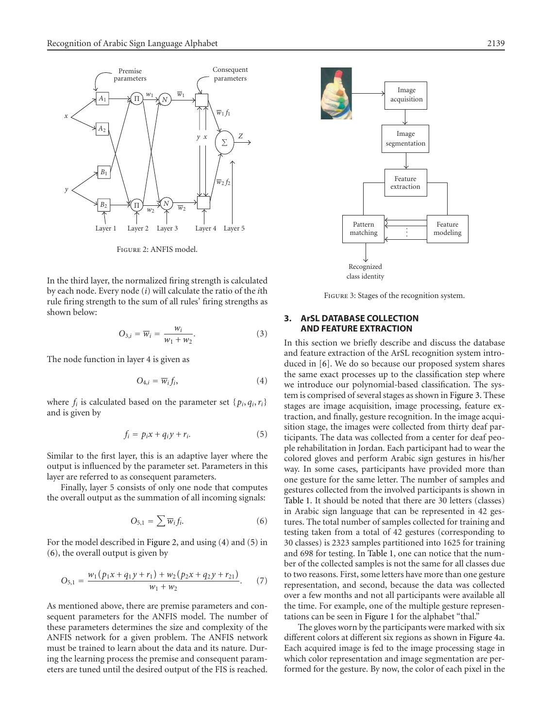

<span id="page-3-1"></span>Figure 2: ANFIS model.

In the third layer, the normalized firing strength is calculated by each node. Every node (*i*) will calculate the ratio of the *i*th rule firing strength to the sum of all rules' firing strengths as shown below:

<span id="page-3-2"></span>
$$
O_{3,i} = \overline{w}_i = \frac{w_i}{w_1 + w_2}.
$$
 (3)

The node function in layer 4 is given as

$$
O_{4,i} = \overline{w}_i f_i,\tag{4}
$$

<span id="page-3-3"></span>where  $f_i$  is calculated based on the parameter set  $\{p_i, q_i, r_i\}$ and is given by

$$
f_i = p_i x + q_i y + r_i. \tag{5}
$$

Similar to the first layer, this is an adaptive layer where the output is influenced by the parameter set. Parameters in this layer are referred to as consequent parameters.

Finally, layer 5 consists of only one node that computes the overall output as the summation of all incoming signals:

<span id="page-3-4"></span>
$$
O_{5,1} = \sum \overline{w}_i f_i. \tag{6}
$$

For the model described in [Figure 2,](#page-3-1) and using [\(4\)](#page-3-2) and [\(5\)](#page-3-3) in [\(6\)](#page-3-4), the overall output is given by

$$
O_{5,1} = \frac{w_1(p_1x + q_1y + r_1) + w_2(p_2x + q_2y + r_{21})}{w_1 + w_2}.
$$
 (7)

As mentioned above, there are premise parameters and consequent parameters for the ANFIS model. The number of these parameters determines the size and complexity of the ANFIS network for a given problem. The ANFIS network must be trained to learn about the data and its nature. During the learning process the premise and consequent parameters are tuned until the desired output of the FIS is reached.



Figure 3: Stages of the recognition system.

# <span id="page-3-5"></span><span id="page-3-0"></span>**3. ArSL DATABASE COLLECTION AND FEATURE EXTRACTION**

In this section we briefly describe and discuss the database and feature extraction of the ArSL recognition system introduced in [\[6](#page-8-5)]. We do so because our proposed system shares the same exact processes up to the classification step where we introduce our polynomial-based classification. The system is comprised of several stages as shown in [Figure 3.](#page-3-5) These stages are image acquisition, image processing, feature extraction, and finally, gesture recognition. In the image acquisition stage, the images were collected from thirty deaf participants. The data was collected from a center for deaf people rehabilitation in Jordan. Each participant had to wear the colored gloves and perform Arabic sign gestures in his/her way. In some cases, participants have provided more than one gesture for the same letter. The number of samples and gestures collected from the involved participants is shown in [Table 1.](#page-4-1) It should be noted that there are 30 letters (classes) in Arabic sign language that can be represented in 42 gestures. The total number of samples collected for training and testing taken from a total of 42 gestures (corresponding to 30 classes) is 2323 samples partitioned into 1625 for training and 698 for testing. In [Table 1,](#page-4-1) one can notice that the number of the collected samples is not the same for all classes due to two reasons. First, some letters have more than one gesture representation, and second, because the data was collected over a few months and not all participants were available all the time. For example, one of the multiple gesture representations can be seen in [Figure 1](#page-2-0) for the alphabet "thal."

The gloves worn by the participants were marked with six different colors at different six regions as shown in [Figure 4a](#page-4-2). Each acquired image is fed to the image processing stage in which color representation and image segmentation are performed for the gesture. By now, the color of each pixel in the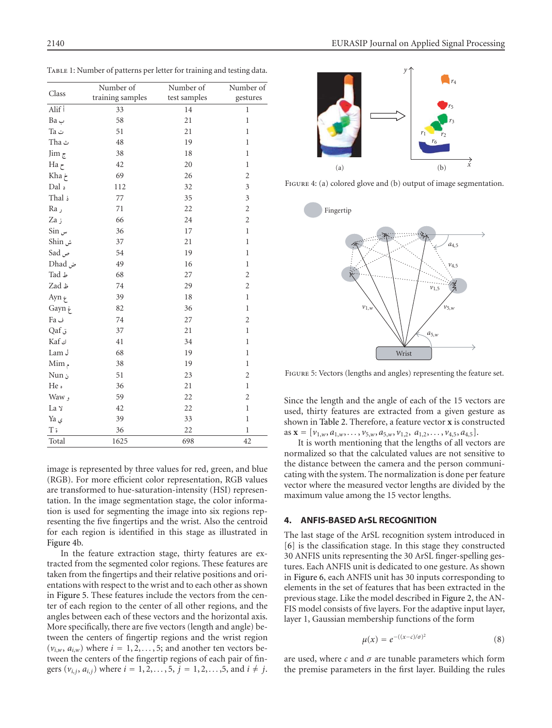TABLE 1: Number of patterns per letter for training and testing data.

<span id="page-4-1"></span>

|                                                               | Number of        | Number of    | Number of               |
|---------------------------------------------------------------|------------------|--------------|-------------------------|
| Class                                                         | training samples | test samples | gestures                |
| Alif İ                                                        | 33               | 14           | $\mathbf{1}$            |
| ب Ba                                                          | 58               | 21           | $\,1$                   |
| ت Ta                                                          | 51               | 21           | $\,1$                   |
| ث Tha                                                         | 48               | 19           | $\,1$                   |
| Jim $\zeta$                                                   | 38               | 18           | $\mathbf{1}$            |
| Ha <sub>c</sub>                                               | 42               | 20           | $\mathbf 1$             |
| Kha خ                                                         | 69               | 26           | $\overline{c}$          |
| د Dal                                                         | 112              | 32           | $\overline{\mathbf{3}}$ |
| ذ Thal                                                        | 77               | 35           | $\overline{\mathbf{3}}$ |
| Ra,                                                           | 71               | 22           | $\overline{c}$          |
| ز Za                                                          | 66               | 24           | $\overline{c}$          |
| س Sin                                                         | 36               | 17           | $\,1$                   |
| ش Shin                                                        | 37               | 21           | $\,1$                   |
| ص Sad                                                         | 54               | 19           | $\mathbf 1$             |
| ض Dhad                                                        | 49               | 16           | $\,1$                   |
| $\operatorname{\textsf{Tad}}$ $\mathord{\blacktriangleright}$ | 68               | 27           | $\overline{c}$          |
| ظ Zad                                                         | 74               | 29           | $\overline{c}$          |
| Ayn ę                                                         | 39               | 18           | $\,1\,$                 |
| غ Gayn                                                        | 82               | 36           | $\,1\,$                 |
| ف Fa                                                          | 74               | 27           | $\overline{c}$          |
| ق Qaf                                                         | 37               | 21           | $\mathbf{1}$            |
| ك Kaf                                                         | 41               | 34           | $\mathbf{1}$            |
| ل Lam                                                         | 68               | 19           | $\mathbf{1}$            |
| $\text{Mim}_{\gamma}$                                         | 38               | 19           | $\,1$                   |
| ن Nun                                                         | 51               | 23           | $\overline{\mathbf{c}}$ |
| He $_{\rm \tiny s}$                                           | 36               | 21           | $\,1\,$                 |
| <b>Waw</b> و                                                  | 59               | 22           | $\overline{c}$          |
| La צ                                                          | 42               | 22           | $\,1$                   |
| $Ya \nightharpoondown$ ي                                      | 39               | 33           | $\,1$                   |
| Tΰ                                                            | 36               | 22           | $\mathbf{1}$            |
| Total                                                         | 1625             | 698          | 42                      |

image is represented by three values for red, green, and blue (RGB). For more efficient color representation, RGB values are transformed to hue-saturation-intensity (HSI) representation. In the image segmentation stage, the color information is used for segmenting the image into six regions representing the five fingertips and the wrist. Also the centroid for each region is identified in this stage as illustrated in [Figure 4b](#page-4-2).

In the feature extraction stage, thirty features are extracted from the segmented color regions. These features are taken from the fingertips and their relative positions and orientations with respect to the wrist and to each other as shown in [Figure 5.](#page-4-3) These features include the vectors from the center of each region to the center of all other regions, and the angles between each of these vectors and the horizontal axis. More specifically, there are five vectors (length and angle) between the centers of fingertip regions and the wrist region  $(v_{i,w}, a_{i,w})$  where  $i = 1, 2, \ldots, 5$ ; and another ten vectors between the centers of the fingertip regions of each pair of fingers  $(v_{i,j}, a_{i,j})$  where  $i = 1, 2, ..., 5, j = 1, 2, ..., 5$ , and  $i \neq j$ .



<span id="page-4-2"></span>FIGURE 4: (a) colored glove and (b) output of image segmentation.



<span id="page-4-3"></span>Figure 5: Vectors (lengths and angles) representing the feature set.

Since the length and the angle of each of the 15 vectors are used, thirty features are extracted from a given gesture as shown in [Table 2.](#page-5-1) Therefore, a feature vector **x** is constructed as  $\mathbf{x} = [\nu_{1,w}, a_{1,w}, \dots, \nu_{5,w}, a_{5,w}, \nu_{1,2}, a_{1,2}, \dots, \nu_{4,5}, a_{4,5}].$ 

It is worth mentioning that the lengths of all vectors are normalized so that the calculated values are not sensitive to the distance between the camera and the person communicating with the system. The normalization is done per feature vector where the measured vector lengths are divided by the maximum value among the 15 vector lengths.

# <span id="page-4-0"></span>**4. ANFIS-BASED ArSL RECOGNITION**

The last stage of the ArSL recognition system introduced in [\[6](#page-8-5)] is the classification stage. In this stage they constructed 30 ANFIS units representing the 30 ArSL finger-spelling gestures. Each ANFIS unit is dedicated to one gesture. As shown in [Figure 6,](#page-6-0) each ANFIS unit has 30 inputs corresponding to elements in the set of features that has been extracted in the previous stage. Like the model described in [Figure 2,](#page-3-1) the AN-FIS model consists of five layers. For the adaptive input layer, layer 1, Gaussian membership functions of the form

$$
\mu(x) = e^{-((x-c)/\sigma)^2}
$$
 (8)

are used, where *c* and *σ* are tunable parameters which form the premise parameters in the first layer. Building the rules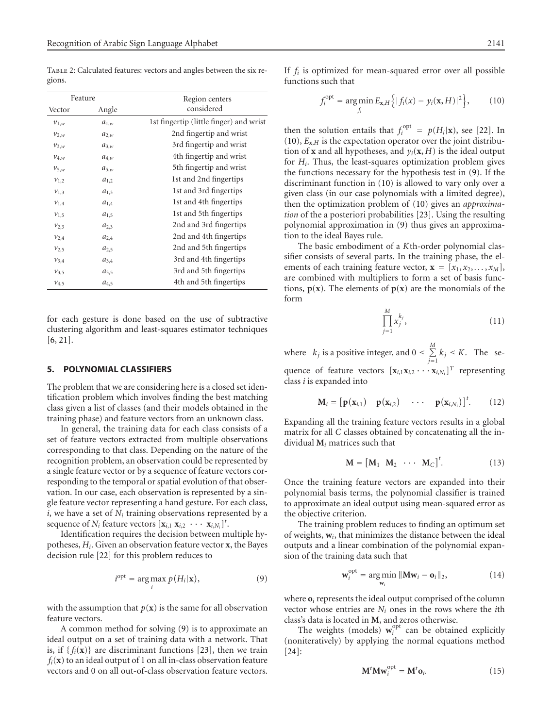<span id="page-5-1"></span>TABLE 2: Calculated features: vectors and angles between the six regions.

| Feature   |           | Region centers                          |  |
|-----------|-----------|-----------------------------------------|--|
| Vector    | Angle     | considered                              |  |
| $v_{1,w}$ | $a_{1,w}$ | 1st fingertip (little finger) and wrist |  |
| $v_{2,w}$ | $a_{2,w}$ | 2nd fingertip and wrist                 |  |
| $v_{3,w}$ | $a_{3,w}$ | 3rd fingertip and wrist                 |  |
| $v_{4,w}$ | $a_{4,w}$ | 4th fingertip and wrist                 |  |
| $v_{5,w}$ | $a_{5,w}$ | 5th fingertip and wrist                 |  |
| $v_{1,2}$ | $a_{1,2}$ | 1st and 2nd fingertips                  |  |
| $v_{1,3}$ | $a_{1,3}$ | 1st and 3rd fingertips                  |  |
| $v_{1,4}$ | $a_{1,4}$ | 1st and 4th fingertips                  |  |
| $v_{1,5}$ | $a_{1,5}$ | 1st and 5th fingertips                  |  |
| $v_{2,3}$ | $a_{2,3}$ | 2nd and 3rd fingertips                  |  |
| $v_{2,4}$ | $a_{2,4}$ | 2nd and 4th fingertips                  |  |
| $v_{2,5}$ | $a_{2,5}$ | 2nd and 5th fingertips                  |  |
| $v_{3,4}$ | $a_{3,4}$ | 3rd and 4th fingertips                  |  |
| $v_{3,5}$ | $a_{3,5}$ | 3rd and 5th fingertips                  |  |
| $v_{4,5}$ | $a_{4,5}$ | 4th and 5th fingertips                  |  |
|           |           |                                         |  |

for each gesture is done based on the use of subtractive clustering algorithm and least-squares estimator techniques [\[6](#page-8-5), [21\]](#page-8-20).

## <span id="page-5-0"></span>**5. POLYNOMIAL CLASSIFIERS**

The problem that we are considering here is a closed set identification problem which involves finding the best matching class given a list of classes (and their models obtained in the training phase) and feature vectors from an unknown class.

In general, the training data for each class consists of a set of feature vectors extracted from multiple observations corresponding to that class. Depending on the nature of the recognition problem, an observation could be represented by a single feature vector or by a sequence of feature vectors corresponding to the temporal or spatial evolution of that observation. In our case, each observation is represented by a single feature vector representing a hand gesture. For each class, *i*, we have a set of *N<sup>i</sup>* training observations represented by a sequence of  $N_i$  feature vectors  $[\mathbf{x}_{i,1} \mathbf{x}_{i,2} \cdots \mathbf{x}_{i,N_i}]^t$ .

Identification requires the decision between multiple hypotheses, *H<sup>i</sup>* . Given an observation feature vector **x**, the Bayes decision rule [\[22\]](#page-8-21) for this problem reduces to

<span id="page-5-2"></span>
$$
i^{\text{opt}} = \underset{i}{\text{arg max}} p(H_i|\mathbf{x}), \qquad (9)
$$

with the assumption that  $p(x)$  is the same for all observation feature vectors.

A common method for solving [\(9\)](#page-5-2) is to approximate an ideal output on a set of training data with a network. That is, if  $\{f_i(\mathbf{x})\}$  are discriminant functions [\[23](#page-8-22)], then we train  $f_i(\mathbf{x})$  to an ideal output of 1 on all in-class observation feature vectors and 0 on all out-of-class observation feature vectors.

<span id="page-5-3"></span>If *f<sup>i</sup>* is optimized for mean-squared error over all possible functions such that

$$
f_i^{\text{opt}} = \underset{f_i}{\text{arg min}} E_{\mathbf{x},H} \Big\{ |f_i(x) - y_i(\mathbf{x}, H)|^2 \Big\},\qquad(10)
$$

then the solution entails that  $f_i^{\text{opt}} = p(H_i|\mathbf{x})$ , see [\[22\]](#page-8-21). In [\(10\)](#page-5-3),  $E_{\mathbf{x},H}$  is the expectation operator over the joint distribution of **x** and all hypotheses, and  $y_i$ ( $\mathbf{x}, H$ ) is the ideal output for *H<sup>i</sup>* . Thus, the least-squares optimization problem gives the functions necessary for the hypothesis test in [\(9\)](#page-5-2). If the discriminant function in [\(10\)](#page-5-3) is allowed to vary only over a given class (in our case polynomials with a limited degree), then the optimization problem of [\(10\)](#page-5-3) gives an *approximation* of the a posteriori probabilities [\[23\]](#page-8-22). Using the resulting polynomial approximation in [\(9\)](#page-5-2) thus gives an approximation to the ideal Bayes rule.

The basic embodiment of a *K*th-order polynomial classifier consists of several parts. In the training phase, the elements of each training feature vector,  $\mathbf{x} = [x_1, x_2, \dots, x_M],$ are combined with multipliers to form a set of basis functions,  $p(x)$ . The elements of  $p(x)$  are the monomials of the form

$$
\prod_{j=1}^{M} x_j^{k_j},\tag{11}
$$

<span id="page-5-5"></span>where  $k_j$  is a positive integer, and  $0 \leq \sum_{i=1}^{M}$  $\sum_{j=1}^{\infty} k_j \leq K$ . The sequence of feature vectors  $[\mathbf{x}_{i,1}\mathbf{x}_{i,2}\cdots\mathbf{x}_{i,N_i}]^T$  representing class *i* is expanded into

$$
\mathbf{M}_i = \begin{bmatrix} \mathbf{p}(\mathbf{x}_{i,1}) & \mathbf{p}(\mathbf{x}_{i,2}) & \cdots & \mathbf{p}(\mathbf{x}_{i,N_i}) \end{bmatrix}^t.
$$
 (12)

Expanding all the training feature vectors results in a global matrix for all *C* classes obtained by concatenating all the individual **M***<sup>i</sup>* matrices such that

$$
\mathbf{M} = \begin{bmatrix} \mathbf{M}_1 & \mathbf{M}_2 & \cdots & \mathbf{M}_C \end{bmatrix}^t.
$$
 (13)

Once the training feature vectors are expanded into their polynomial basis terms, the polynomial classifier is trained to approximate an ideal output using mean-squared error as the objective criterion.

The training problem reduces to finding an optimum set of weights, **w***<sup>i</sup>* , that minimizes the distance between the ideal outputs and a linear combination of the polynomial expansion of the training data such that

$$
\mathbf{w}_i^{\text{opt}} = \underset{\mathbf{w}_i}{\text{arg min}} \|\mathbf{M}\mathbf{w}_i - \mathbf{o}_i\|_2, \tag{14}
$$

where **o***<sup>i</sup>* represents the ideal output comprised of the column vector whose entries are *N<sup>i</sup>* ones in the rows where the *i*th class's data is located in **M**, and zeros otherwise.

<span id="page-5-4"></span>The weights (models)  $w_i^{opt}$  can be obtained explicitly (noniteratively) by applying the normal equations method  $[24]$  $[24]$ :

$$
\mathbf{M}^t \mathbf{M} \mathbf{w}_i^{\text{opt}} = \mathbf{M}^t \mathbf{o}_i. \tag{15}
$$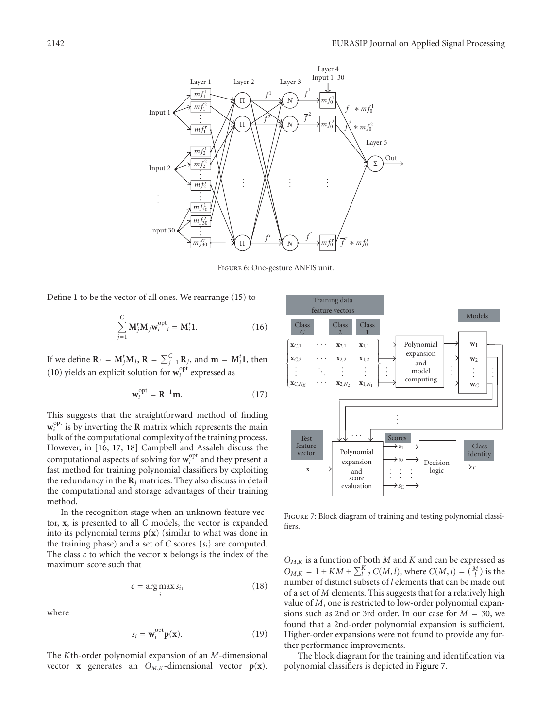

<span id="page-6-0"></span>Figure 6: One-gesture ANFIS unit.

Define **1** to be the vector of all ones. We rearrange [\(15\)](#page-5-4) to

$$
\sum_{j=1}^{C} \mathbf{M}_{j}^{t} \mathbf{M}_{j} \mathbf{w}_{i}^{\text{opt}}{}_{i} = \mathbf{M}_{i}^{t} \mathbf{1}.
$$
 (16)

If we define  $\mathbf{R}_j = \mathbf{M}_j^t \mathbf{M}_j$ ,  $\mathbf{R} = \sum_{j=1}^C \mathbf{R}_j$ , and  $\mathbf{m} = \mathbf{M}_i^t \mathbf{1}$ , then [\(10\)](#page-5-3) yields an explicit solution for  $w_i^{\text{opt}}$  expressed as

<span id="page-6-2"></span>
$$
\mathbf{w}_i^{\text{opt}} = \mathbf{R}^{-1} \mathbf{m}.\tag{17}
$$

This suggests that the straightforward method of finding  $\mathbf{w}_i^{\text{opt}}$  is by inverting the **R** matrix which represents the main bulk of the computational complexity of the training process. However, in [\[16](#page-8-15), [17,](#page-8-16) [18\]](#page-8-17) Campbell and Assaleh discuss the computational aspects of solving for  $w_i^{\text{opt}}$  and they present a fast method for training polynomial classifiers by exploiting the redundancy in the  $\mathbf{R}_j$  matrices. They also discuss in detail the computational and storage advantages of their training method.

In the recognition stage when an unknown feature vector, **x**, is presented to all *C* models, the vector is expanded into its polynomial terms  $p(x)$  (similar to what was done in the training phase) and a set of *C* scores {*si*} are computed. The class *c* to which the vector **x** belongs is the index of the maximum score such that

$$
c = \underset{i}{\arg \max} s_i, \tag{18}
$$

where

$$
s_i = \mathbf{w}_i^{\text{opt}} \mathbf{p}(\mathbf{x}). \tag{19}
$$

The *K*th-order polynomial expansion of an *M*-dimensional vector **x** generates an  $O_{M,K}$ -dimensional vector  $p(x)$ .



<span id="page-6-1"></span>Figure 7: Block diagram of training and testing polynomial classifiers.

*OM*,*<sup>K</sup>* is a function of both *M* and *K* and can be expressed as  $O_{M,K} = 1 + KM + \sum_{l=2}^{K} C(M, l)$ , where  $C(M, l) = {M \choose l}$  is the number of distinct subsets of *l* elements that can be made out of a set of *M* elements. This suggests that for a relatively high value of *M*, one is restricted to low-order polynomial expansions such as 2nd or 3rd order. In our case for *M* = 30, we found that a 2nd-order polynomial expansion is sufficient. Higher-order expansions were not found to provide any further performance improvements.

The block diagram for the training and identification via polynomial classifiers is depicted in [Figure 7.](#page-6-1)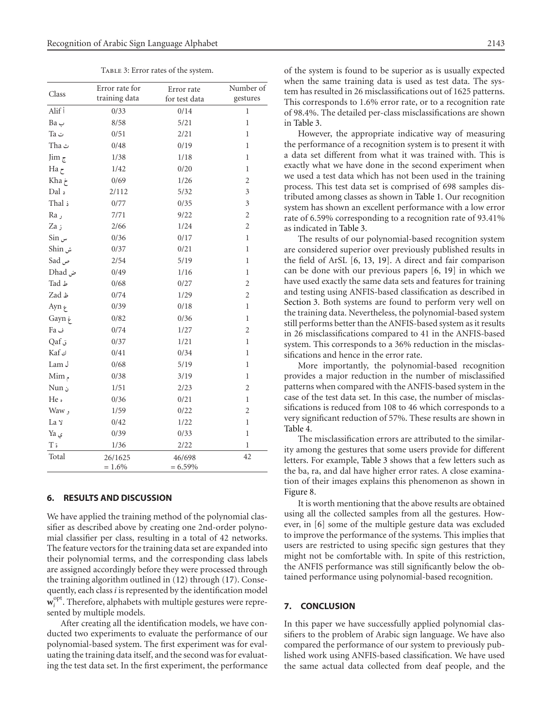TABLE 3: Error rates of the system.

<span id="page-7-2"></span>

|                      | Error rate for | Error rate    | Number of      |
|----------------------|----------------|---------------|----------------|
| Class                | training data  | for test data | gestures       |
| Alif İ               | 0/33           | 0/14          | $\mathbf{1}$   |
| Ba ب                 | 8/58           | 5/21          | $\mathbf{1}$   |
| ت Ta                 | 0/51           | 2/21          | $\mathbf{1}$   |
| ث Tha                | 0/48           | 0/19          | $\mathbf{1}$   |
| Jim $\tau$           | 1/38           | 1/18          | $\mathbf{1}$   |
| Ha <sub>c</sub>      | 1/42           | 0/20          | $\mathbf{1}$   |
| خ Kha                | 0/69           | 1/26          | $\overline{2}$ |
| د Dal                | 2/112          | 5/32          | 3              |
| ذ Thal               | 0/77           | 0/35          | 3              |
| Ra,                  | 7/71           | 9/22          | $\overline{c}$ |
| Za;                  | 2/66           | 1/24          | $\overline{c}$ |
| س Sin                | 0/36           | 0/17          | $\mathbf{1}$   |
| ش Shin               | 0/37           | 0/21          | $\mathbf{1}$   |
| ص Sad                | 2/54           | 5/19          | $\mathbf{1}$   |
| ض Dhad               | 0/49           | 1/16          | $\,1\,$        |
| ط Tad                | 0/68           | 0/27          | $\overline{c}$ |
| ظ Zad                | 0/74           | 1/29          | $\overline{2}$ |
| Ayn ۶                | 0/39           | 0/18          | $\mathbf{1}$   |
| Gayn $\dot{\varphi}$ | 0/82           | 0/36          | $\mathbf{1}$   |
| ف Fa                 | 0/74           | 1/27          | $\overline{2}$ |
| ق Qaf                | 0/37           | 1/21          | $\mathbf{1}$   |
| ك Kaf                | 0/41           | 0/34          | $\mathbf{1}$   |
| Lam J                | 0/68           | 5/19          | $\mathbf{1}$   |
| م Mim                | 0/38           | 3/19          | $\mathbf{1}$   |
| ن Nun                | 1/51           | 2/23          | $\overline{c}$ |
| He $_{\rm \tiny s}$  | 0/36           | 0/21          | $\mathbf{1}$   |
| <b>Waw</b> و         | 1/59           | 0/22          | $\overline{2}$ |
| La y                 | 0/42           | 1/22          | $\mathbf{1}$   |
| <b>Ya</b> ی          | 0/39           | 0/33          | $\mathbf{1}$   |
| $\rm T$ ;            | 1/36           | 2/22          | 1              |
| Total                | 26/1625        | 46/698        | 42             |
|                      | $= 1.6\%$      | $= 6.59\%$    |                |

#### <span id="page-7-0"></span>**6. RESULTS AND DISCUSSION**

We have applied the training method of the polynomial classifier as described above by creating one 2nd-order polynomial classifier per class, resulting in a total of 42 networks. The feature vectors for the training data set are expanded into their polynomial terms, and the corresponding class labels are assigned accordingly before they were processed through the training algorithm outlined in [\(12\)](#page-5-5) through [\(17\)](#page-6-2). Consequently, each class *i* is represented by the identification model  $\mathbf{w}_i^{\text{opt}}$ . Therefore, alphabets with multiple gestures were represented by multiple models.

After creating all the identification models, we have conducted two experiments to evaluate the performance of our polynomial-based system. The first experiment was for evaluating the training data itself, and the second was for evaluating the test data set. In the first experiment, the performance of the system is found to be superior as is usually expected when the same training data is used as test data. The system has resulted in 26 misclassifications out of 1625 patterns. This corresponds to 1.6% error rate, or to a recognition rate of 98.4%. The detailed per-class misclassifications are shown in [Table 3.](#page-7-2)

However, the appropriate indicative way of measuring the performance of a recognition system is to present it with a data set different from what it was trained with. This is exactly what we have done in the second experiment when we used a test data which has not been used in the training process. This test data set is comprised of 698 samples distributed among classes as shown in [Table 1.](#page-4-1) Our recognition system has shown an excellent performance with a low error rate of 6.59% corresponding to a recognition rate of 93.41% as indicated in [Table 3.](#page-7-2)

The results of our polynomial-based recognition system are considered superior over previously published results in the field of ArSL [\[6](#page-8-5), [13,](#page-8-12) [19](#page-8-18)]. A direct and fair comparison can be done with our previous papers [\[6,](#page-8-5) [19](#page-8-18)] in which we have used exactly the same data sets and features for training and testing using ANFIS-based classification as described in [Section 3.](#page-3-0) Both systems are found to perform very well on the training data. Nevertheless, the polynomial-based system still performs better than the ANFIS-based system as it results in 26 misclassifications compared to 41 in the ANFIS-based system. This corresponds to a 36% reduction in the misclassifications and hence in the error rate.

More importantly, the polynomial-based recognition provides a major reduction in the number of misclassified patterns when compared with the ANFIS-based system in the case of the test data set. In this case, the number of misclassifications is reduced from 108 to 46 which corresponds to a very significant reduction of 57%. These results are shown in [Table 4.](#page-8-24)

The misclassification errors are attributed to the similarity among the gestures that some users provide for different letters. For example, [Table 3](#page-7-2) shows that a few letters such as the ba, ra, and dal have higher error rates. A close examination of their images explains this phenomenon as shown in [Figure 8.](#page-8-25)

It is worth mentioning that the above results are obtained using all the collected samples from all the gestures. However, in [\[6](#page-8-5)] some of the multiple gesture data was excluded to improve the performance of the systems. This implies that users are restricted to using specific sign gestures that they might not be comfortable with. In spite of this restriction, the ANFIS performance was still significantly below the obtained performance using polynomial-based recognition.

#### <span id="page-7-1"></span>**7. CONCLUSION**

In this paper we have successfully applied polynomial classifiers to the problem of Arabic sign language. We have also compared the performance of our system to previously published work using ANFIS-based classification. We have used the same actual data collected from deaf people, and the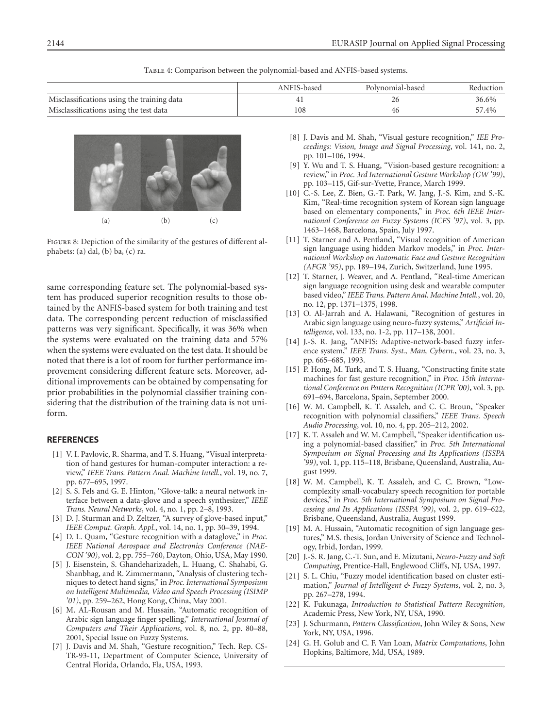|                                            | ANFIS-based | Polynomial-based | Reduction |
|--------------------------------------------|-------------|------------------|-----------|
| Misclassifications using the training data |             |                  | 36.6%     |
| Misclassifications using the test data     | 108         | 46               | 57.4%     |

<span id="page-8-24"></span>Table 4: Comparison between the polynomial-based and ANFIS-based systems.



<span id="page-8-25"></span>Figure 8: Depiction of the similarity of the gestures of different alphabets: (a) dal, (b) ba, (c) ra.

same corresponding feature set. The polynomial-based system has produced superior recognition results to those obtained by the ANFIS-based system for both training and test data. The corresponding percent reduction of misclassified patterns was very significant. Specifically, it was 36% when the systems were evaluated on the training data and 57% when the systems were evaluated on the test data. It should be noted that there is a lot of room for further performance improvement considering different feature sets. Moreover, additional improvements can be obtained by compensating for prior probabilities in the polynomial classifier training considering that the distribution of the training data is not uniform.

#### <span id="page-8-0"></span>**REFERENCES**

- [1] V. I. Pavlovic, R. Sharma, and T. S. Huang, "Visual interpretation of hand gestures for human-computer interaction: a review," *IEEE Trans. Pattern Anal. Machine Intell.*, vol. 19, no. 7, pp. 677–695, 1997.
- <span id="page-8-1"></span>[2] S. S. Fels and G. E. Hinton, "Glove-talk: a neural network interface between a data-glove and a speech synthesizer," *IEEE Trans. Neural Networks*, vol. 4, no. 1, pp. 2–8, 1993.
- <span id="page-8-2"></span>[3] D. J. Sturman and D. Zeltzer, "A survey of glove-based input," *IEEE Comput. Graph. Appl.*, vol. 14, no. 1, pp. 30–39, 1994.
- <span id="page-8-3"></span>[4] D. L. Quam, "Gesture recognition with a dataglove," in *Proc. IEEE National Aerospace and Electronics Conference (NAE-CON '90)*, vol. 2, pp. 755–760, Dayton, Ohio, USA, May 1990.
- <span id="page-8-4"></span>[5] J. Eisenstein, S. Ghandeharizadeh, L. Huang, C. Shahabi, G. Shanbhag, and R. Zimmermann, "Analysis of clustering techniques to detect hand signs," in *Proc. International Symposium on Intelligent Multimedia, Video and Speech Processing (ISIMP '01)*, pp. 259–262, Hong Kong, China, May 2001.
- <span id="page-8-5"></span>[6] M. AL-Rousan and M. Hussain, "Automatic recognition of Arabic sign language finger spelling," *International Journal of Computers and Their Applications*, vol. 8, no. 2, pp. 80–88, 2001, Special Issue on Fuzzy Systems.
- <span id="page-8-6"></span>[7] J. Davis and M. Shah, "Gesture recognition," Tech. Rep. CS-TR-93-11, Department of Computer Science, University of Central Florida, Orlando, Fla, USA, 1993.
- <span id="page-8-7"></span>[8] J. Davis and M. Shah, "Visual gesture recognition," *IEE Proceedings: Vision, Image and Signal Processing*, vol. 141, no. 2, pp. 101–106, 1994.
- <span id="page-8-8"></span>[9] Y. Wu and T. S. Huang, "Vision-based gesture recognition: a review," in *Proc. 3rd International Gesture Workshop (GW '99)*, pp. 103–115, Gif-sur-Yvette, France, March 1999.
- <span id="page-8-9"></span>[10] C.-S. Lee, Z. Bien, G.-T. Park, W. Jang, J.-S. Kim, and S.-K. Kim, "Real-time recognition system of Korean sign language based on elementary components," in *Proc. 6th IEEE International Conference on Fuzzy Systems (ICFS '97)*, vol. 3, pp. 1463–1468, Barcelona, Spain, July 1997.
- <span id="page-8-10"></span>[11] T. Starner and A. Pentland, "Visual recognition of American sign language using hidden Markov models," in *Proc. International Workshop on Automatic Face and Gesture Recognition (AFGR '95)*, pp. 189–194, Zurich, Switzerland, June 1995.
- <span id="page-8-11"></span>[12] T. Starner, J. Weaver, and A. Pentland, "Real-time American sign language recognition using desk and wearable computer based video," *IEEE Trans. Pattern Anal. Machine Intell.*, vol. 20, no. 12, pp. 1371–1375, 1998.
- <span id="page-8-12"></span>[13] O. Al-Jarrah and A. Halawani, "Recognition of gestures in Arabic sign language using neuro-fuzzy systems," *Artificial Intelligence*, vol. 133, no. 1-2, pp. 117–138, 2001.
- <span id="page-8-13"></span>[14] J.-S. R. Jang, "ANFIS: Adaptive-network-based fuzzy inference system," *IEEE Trans. Syst., Man, Cybern.*, vol. 23, no. 3, pp. 665–685, 1993.
- <span id="page-8-14"></span>[15] P. Hong, M. Turk, and T. S. Huang, "Constructing finite state machines for fast gesture recognition," in *Proc. 15th International Conference on Pattern Recognition (ICPR '00)*, vol. 3, pp. 691–694, Barcelona, Spain, September 2000.
- <span id="page-8-15"></span>[16] W. M. Campbell, K. T. Assaleh, and C. C. Broun, "Speaker recognition with polynomial classifiers," *IEEE Trans. Speech Audio Processing*, vol. 10, no. 4, pp. 205–212, 2002.
- <span id="page-8-16"></span>[17] K. T. Assaleh and W. M. Campbell, "Speaker identification using a polynomial-based classifier," in *Proc. 5th International Symposium on Signal Processing and Its Applications (ISSPA '99)*, vol. 1, pp. 115–118, Brisbane, Queensland, Australia, August 1999.
- <span id="page-8-17"></span>[18] W. M. Campbell, K. T. Assaleh, and C. C. Brown, "Lowcomplexity small-vocabulary speech recognition for portable devices," in *Proc. 5th International Symposium on Signal Processing and Its Applications (ISSPA '99)*, vol. 2, pp. 619–622, Brisbane, Queensland, Australia, August 1999.
- <span id="page-8-18"></span>[19] M. A. Hussain, "Automatic recognition of sign language gestures," M.S. thesis, Jordan University of Science and Technology, Irbid, Jordan, 1999.
- <span id="page-8-19"></span>[20] J.-S. R. Jang, C.-T. Sun, and E. Mizutani, *Neuro-Fuzzy and Soft Computing*, Prentice-Hall, Englewood Cliffs, NJ, USA, 1997.
- <span id="page-8-20"></span>[21] S. L. Chiu, "Fuzzy model identification based on cluster estimation," *Journal of Intelligent & Fuzzy Systems*, vol. 2, no. 3, pp. 267–278, 1994.
- <span id="page-8-21"></span>[22] K. Fukunaga, *Introduction to Statistical Pattern Recognition*, Academic Press, New York, NY, USA, 1990.
- <span id="page-8-22"></span>[23] J. Schurmann, *Pattern Classification*, John Wiley & Sons, New York, NY, USA, 1996.
- <span id="page-8-23"></span>[24] G. H. Golub and C. F. Van Loan, *Matrix Computations*, John Hopkins, Baltimore, Md, USA, 1989.